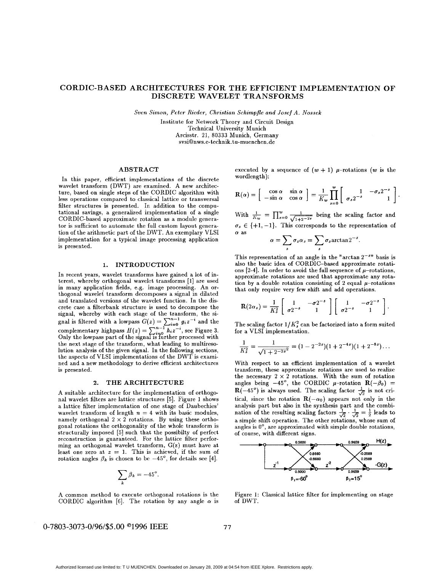## **CORDIC-BASED ARCHITECTURES FOR THE EFFICIENT IMPLEMENTATION OF DISCRETE WAVELET TRANSFORMS**

 $Sven~Simon, Peter~Rieder, Christian~Schimpler~and~Josef~A.~Nossek$ 

Institute for Network Theory and Circuit Design Technical University Munich Arcisstr. **21, 80333** Munich, Germany svsi@nws.e-techni[k. tu-muenchen.de](http://tu-muenchen.de)

### **ABSTRACT**

In this paper, efficient implementations of the discrete wavelet transform (DWT) are examined. A new architecture, based on single steps of the CORDIC algorithm with less operations compared to classical lattice **or** transversal filter structures is presented. In addition to the computational savings, a generalized implementation of a single CORDIC-based approximate rotation **as** a module generator is sufficient to automate the full custom layout generation of the arithmetic part of the IIWT. An exemplary VLSI implementation for a typical image processing application is presented.

#### **1. INTRODUCTION**

In recent years, wavelet transforms have gained a lot of interest, whereby orthogonal wavelet transforms [l] are used in many application fields, e.g. image processing. An orthogonal wavelet transform decomposes a signal in dilated and translated versions of the wavelet function. In the discrete case a filterbank structure is used to decompose the signal, whereby with each stage of the transform, the signal is filtered with a lowpass  $G(z) = \sum_{i=0}^{n-1} g_i z^{-i}$  and the complementary highpass  $H(z) = \sum_{i=0}^{n-1} h_i z^{-i}$ , see Figure 3. the next stage of the transform, what leading to multiresolution analysis of the given signal. In the following sections, the aspects of VLSI implementations **of** the DWT is examined and a new methodology to derive efficient architectures is presented. Only the lowpass part of the signal is further processed with

### **2. THE ARCHITECTURE**

A suitable architecture for the implementation of orthogonal wavelet filters are lattice structures *[5].* Figure **1** shows a lattice filter implementation of one stage of Daubechies' wavelet transform of length  $n = 4$  with its basic modules, namely orthogonal  $2 \times 2$  rotations. By using these orthogonal rotations the orthogonality of the whole transform is structurally imposed [5] such that the possibilty of perfect reconstruction is guaranteed. For the lattice filter performing an orthogonal wavelet transform, G(z) must have at least one zero at  $z = 1$ . This is achieved, if the sum of rotation angles  $\beta_k$  is chosen to be  $-45^\circ$ , for details see [4].

$$
\sum_{k} \beta_k = -45^\circ.
$$

**A** common method to execute orthogonal rotations is the CORDIC algorithm [6]. The rotation by any angle  $\alpha$  is executed by a sequence of  $(w + 1)$   $\mu$ -rotations  $(w$  is the wordlength):

$$
\mathbf{R}(\alpha) = \begin{bmatrix} \cos \alpha & \sin \alpha \\ -\sin \alpha & \cos \alpha \end{bmatrix} = \frac{1}{K_w} \prod_{s=0}^{w} \begin{bmatrix} 1 & -\sigma_s 2^{-s} \\ \sigma_s 2^{-s} & 1 \end{bmatrix}
$$

With  $\frac{1}{K_w} = \prod_{s=0}^w \frac{1}{\sqrt{1+2^{-2s}}}$  being the scaling factor and  $\sigma_s \in \{+1, -1\}$ . This corresponds to the representation of *a* as

$$
\alpha = \sum_{s} \sigma_s \alpha_s = \sum_{s} \sigma_s \arctan 2^{-s}.
$$

This representation of an angle in the "arctan  $2^{-sn}$  basis is also the basic idea of CORDIC-based approximate rotations  $[2-4]$ . In order to avoid the full sequence of  $\mu$ -rotations, approximate rotations are used that approximate any rotation by a double rotation consisting of 2 equal  $\mu$ -rotations that only require very few shift and add operations.

$$
\mathbf{R}(2\alpha_s) = \frac{1}{K_s^2} \left[ \begin{array}{cc} 1 & -\sigma 2^{-s} \\ \sigma 2^{-s} & 1 \end{array} \right] \left[ \begin{array}{cc} 1 & -\sigma 2^{-s} \\ \sigma 2^{-s} & 1 \end{array} \right].
$$

The scaling factor  $1/K_s^2$  can be factorized into a form suited for a VLSI implementation.

$$
\frac{1}{K_s^2} = \frac{1}{\sqrt{1+2^{-2s}}^2} = (1-2^{-2s})(1+2^{-4s})(1+2^{-8s})\dots
$$

With respect to an efficient implementation of a wavelet transform, these approximate rotations are used to realize the necessary  $2 \times 2$  rotations. With the sum of rotation<br>angles being  $-45^{\circ}$ , the CORDIC  $\mu$ -rotation  $\mathbf{R}(-\beta_0)$  =  $\mathbf{R}(-45^{\circ})$  is always used. The scaling factor  $\frac{1}{\sqrt{2}}$  is not critical, since the rotation  $\mathbf{R}(-\alpha_0)$  appears not only in the<br>analysis part but also in the synthesis part and the combi-<br>nation of the resulting scaling factors  $\frac{1}{\sqrt{2}} \cdot \frac{1}{\sqrt{2}} = \frac{1}{2}$  leads to a simple shift operation. The other rotations, whose sum of angles is  $0^\circ$ , are approximated with simple double rotations, of course, with different signs.



Figure 1: Classical lattice filter for implementing on stage of DWT.

# **0-7803-3073-0/96/\$5** *.OO* **O1996 IEEE**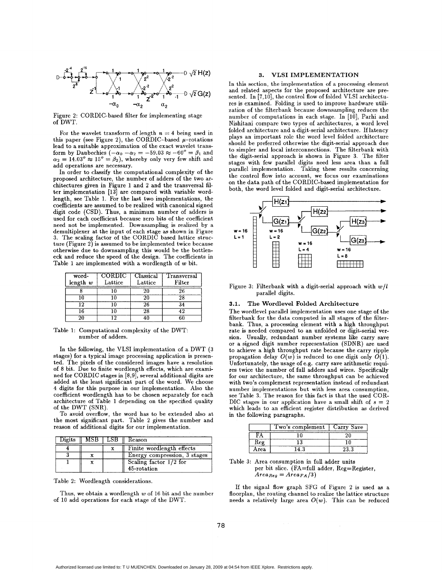

Figure **2:** CORDIC-based filter for implementing stage of DWT.

For the wavelet transform of length  $n = 4$  being used in this paper (see Figure 2), the CORDIC-based  $\mu$ -rotations lead to a suitable approximation of the exact wavelet transform by Daubechies  $(-\alpha_0 - \alpha_2 = -59.03 \approx -60^\circ = \beta_1$  and  $\alpha_2 = 14.03^\circ \approx 15^\circ = \beta_2$ , whereby only very few shift and add operations are necessary.

In order to classify the computational complexity of the proposed architecture, the number of adders of the two architectures given in Figure **1** and **2** and the transversal filter implementation **[13]** are compared with variable wordlength, see Table 1. For the last two implementations, the coefficients are assumed to be realized with canonical signed digit code (CSD). Thus, a minimum number of adders is used for each coefficient because zero bits of the coefficient need not be implemented. DownsampIiag is realized by a demultiplexer at the input of each stage **as** shown in Figure **3.** The scaling factor of the CORDIC based lattice structure (Figure **2)** is assumed to be implemented twice because otherwise due to downsampling this would be the bottleneck and reduce the speed of the design. The coefficients in Table 1 are implemented with a wordlength of w bit.

| word-<br>length w | CORDIC<br>Lattice | Classical<br>Lattice | Transversal<br>$_\mathrm{Filter}$ |
|-------------------|-------------------|----------------------|-----------------------------------|
|                   |                   |                      | 26                                |
|                   |                   |                      |                                   |
| ۱9                |                   | 26                   | 34                                |
|                   |                   | 28                   |                                   |
|                   |                   |                      |                                   |

Table 1: Computational complexity of the DWT: number of adders.

In the following, the VLSI implementation of a DWT **(3**  stages) for **a** typical image processing application is presented. The pixels of the considered images have a resolution of **8** bit. Due to finite wordlength effects, which are examined for CORDIC stages in [8,9], several additional digits are added at the least significant part of the word. We choose **4** digits for this purpose in our implementation. Also the coefficient wordlength has to be chosen separately for each architecture of Table 1 depending on the specified quality of the DWT (SNR).

To avoid overflow, the word has to be extended also at the most significant part. Table *2* gives the number and reason of additional digits for our implementation.

| Digits | MSB | 65B - | Keason                                  |
|--------|-----|-------|-----------------------------------------|
|        |     |       | Finite wordlength effects               |
|        |     |       | Energy compression, 3 stages            |
|        |     |       | Scaling factor $1/2$ for<br>45-rotation |

Table 2: Wordlength considerations.

Thus, we obtain a wordlength  $w$  of 16 bit and the number of 10 add operations for each stage of the DWT.

### **3. VLSI IMPLEMENTATION**

In this section, the implementation of a processing element and related aspects for the proposed architecture are presented. In  $[7,10]$ , the control flow of folded VLSI architectures is examined. Folding is used to improve hardware utilization of the filterbank because downsampling reduces the number of computations in each stage. In [10], Parhi and Nishitani compare two types of architectures, a word level folded architecture and a digit-serial architecture. If latency plays an important role the word level folded architecture should be preferred otherwise the digit-serial approach due to simpler and local interconnections. The filterbank with the digit-serial approach *is* shown in Figure **3.** The filter stages with few parallel digits need less area than a full parallel implementation. Taking these results concerning the control flow into account, we focus **our** examinations on the data path of the CORDIC-based implementation for both, the word level folded and digit-serial architecture.



Figure 3: Filterbank with a digit-serial approach with  $w/l$ parallel digits.

### **3.1. The Wordlevel Folded Architecture**

The wordlevel parallel implementation uses one stage of the filterbank for the data computed in **all** stages of the filterbank. Thus, a processing element with a high throughput rate is needed compared to an unfolded or digit-serial version. Usually, redundant number systems like carry save **or** a signed digit number representation (SDNR) are used to achieve a high throughput rate because the carry ripple propagation delay  $O(w)$  is reduced to one digit only  $O(1)$ . Unfortunately, the usage of e.g. carry save arithmetic requires twice the number of full adders and wires. Specifically for our architecture, the same throughput can be achieved with two's complement representation instead of redundant number implementations but with less area consumption, see Table **3.** The reason for this fact is that the used COR-DIC stages in our application have a small shift of  $s = 2$ which leads to an efficient register distribution **as** derived in the following paragraphs.

|      | Two's complement   Carry Save |  |
|------|-------------------------------|--|
|      |                               |  |
|      |                               |  |
| Area |                               |  |

Table **3:** Area consumption in full adder units per bit slice. (FA=full adder, Reg=Register,  $Area_{Reg} = Area_{FA}/3)$ 

If the signal flow graph SFG of Figure *2* **is** used **as** a floorplan, the routing channel to realize the lattice structure needs a relatively large area  $O(w)$ . This can be reduced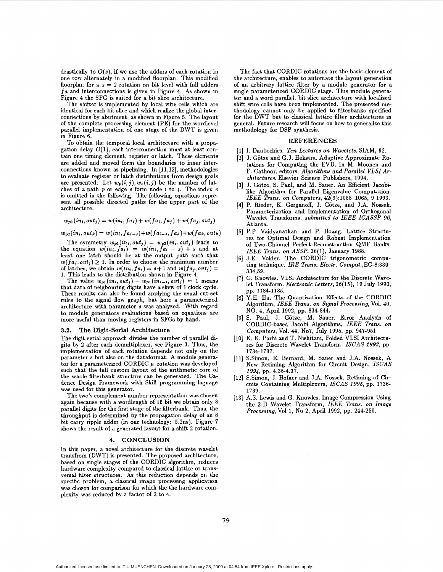drastically to  $O(s)$ , if we use the adders of each rotation in one row alternately in a modified floorplan. This modified floorplan for  $a = 2$  rotation on bit level with full adders *fa* and interconnections is given in Figure **4.** As shown in Figure **4** the SFG is suited for a bit slice architecture.

The shifter is implemented by local wire cells which are identical for each bit slice and which realize the global interconnections by abutment, as shown in Figure 5. The layout of the complete processing element (PE) for the wordlevel parallel implementation of one stage of the DWT is given in Figure **6.** 

To obtain the temporal local architecture with a propagation delay  $O(1)$ , each interconnection must at least contain one timing element, register or latch. These elements are added and moved form the boundaries to inner interconnections known **as** pipelining. In **[11,12],** methodologies to evaluate register or latch distributions from design goals are presented. Let  $w_p(i,j), w_e(i,j)$  be the number of latches of a path *p* or edge *e* form node *a* to **j.** The index e is omitted in the following. The following equations represent all possible directed paths for the upper part of the architecture.

$$
w_{p1}(in_i,out_j)=w(in_i,fa_i)+w(fa_i,fa_j)+w(fa_j,out_j)
$$

 $w_{p2}(in_i, out_k) = w(in_i, fa_{i-s}) + w(fa_{i-s}, fa_k) + w(fa_k, out_k)$ 

The symmetry  $w_{p1}(in_i, out_j) = w_{p2}(in_i, out_j)$  leads to the equation  $w(in_i, fa_i) = w(in_i, fa_i - s) + s$  and at least one latch should be at the output path such that  $w(fa_j, out_j) \geq 1$ . In order to choose the minimum number of latches, we obtain  $w(in_i,fa_i) = s+1$  and  $w(fa_j,out_j) = s+1$ 1. This leads to the distribution shown in Figure **4.** 

The value  $w_{p1}(in_i, out_j) - w_{p1}(in_{i-1}, out_j) = 1$  means that data of neigbouring digits have a skew of 1 clock cycle. These results can also be found applying the usual cut-set rules to the signal flow graph, but here a parameterized architecture with parameter **s** was analyzed. With regard to module generators evaluations based on equations are more useful than moving registers in SFGs by hand.

#### 3.2. The Digit-Serial Architecture

The digit serial approach divides the number of parallel digits by **2** after each demultiplexer, see Figure **3.** Thus, the implementation of each rotation depends not only on the parameter s but also on the dataformat. A module generator for a parameterized CORDIC  $\mu$ -rotation was developed such that the full custom layout of the arithmetic core of the whole filterbank structure can be generated. The Cadence Design Framework with Skill programming laguage was used for this generator.

The two's complement number representation was chosen again because with a wordlength of **16** bit we obtain only **8**  parallel digits for the first stage of the filterbank. Thus, the throughput is determined by the propagation delay of an 8 bit carry ripple adder (in our technology: 5.2ns). Figure 7 shows the result of a generated layout for a shift 2 rotation.

#### **4. CONCLUSION**

In this paper, a novel architecture for the discrete wavelet transfrom (DWT) is presented. The proposed architecture, based on single stages of the CORDIC algorithm, reduces hardware complexity compared to classical lattice or trans**versal filter structures. As this** reduction depends on the specific problem, a classical image processing application was chosen for comparison for which the the hardware complexity was reduced by a factor of 2 to **4.** 

The fact that CORDIC rotations are the basic element of the architecture, enables to automate the layout generation of an arbitrary lattice filter by a module generator for a single parameterized CORDIC stage. This module generator and a word parallel, bit slice architecture with localized shift wire cells have been implemented. The presented methodology cannot only be applied to filterbanks specified for the DWT but to classical lattice filter architectures in general. Future research will focus on how to generalize this methodology for DSP synthesis.

### **REFERENCES**

- [l] I. Daubechies. *Ten Lectures on Wavelets.* SIAM, **92.**
- **121** J. Gotze and G. J. Hekstra. Adaptive Approximate Rotations for Computing the EVD. In M. Moonen and F. Cathoor, editors, *Algorithms and Parallel* VLSI *Architectures.* Elsevier Science Publishers, **1994.**
- **[3]** J. Gotze, S. Paul, and M. Sauer. An Efficient Jacobilike Algorithm for Parallel Eigenvalue Computation. IEEE *Trans. on Computers,* **42(9):1058-1065, 9 1993.**
- [4] P. Rieder, K. Gerganoff, J. Götze, and J.A. Nossek. Parameterization and Implementation of Orthogonal Wavelet Transforms. *submitted to IEEE ICASSP 96,*  Atlanta.
- **[5]** P.P. Vaidyanathan and P. Hoang. Lattice Structures for Optimal Design and Robust Implementation of Two-Channel Perfect-Reconstruction QMF Banks. *IEEE Trans. on ASSP,* **36(1),** January **1988.**
- **[6]** J.E. Volder. The CORDIC trigonometric computing technique. IRE *Trans. Electr.* **Comput.,EC-8:330- 334,59.**
- **[7]** G. Knowles. VLSI Architecture for the Discrete Wavelet Transform. *Electronic Letters,* **26(15), 19** July **1990,**  pp. **1184-1185.**
- **[8]** Y.H. **Hu.** The Quantization Effects of the CORDIC Algorithm, *IEEE Trans.* **on** *Signal Processing,* Vol. *40,*  NO. **4,** April **1992,** pp. **834-844.**
- **[9]** S. Paul, J. Gotze, M. Sauer. Error Analysis of CORDIC-based Jacobi Algorithms, *fEEE Trans. on Computers,* Vol. **44,** NOT, July **1995,** pp. **947-951**
- **[IO]** K. K. Parhi and T. Nishitani, Folded VLSI Architectures for Discrete Wavelet Transform, *ISCAS 1993,* pp. **1734-1737.**
- [11] S.Simon, E. Bernard, M. Sauer and J.A. Nossek, A New Retiming Algorithm for Circuit Design, *ISCAS 1994,* pp. **4.35-4.37.**
- **[la]** S.Simon, **J.** Hofner and J.A. Nossek, Retiming of Circuits Containing Multiplexers, ISCAS *1995,* pp. **1736- 1739.**
- **[13]** A.S. Lewis and G. Knowles, Image Compression Using the 2-D Wavelet Transform, IEEE *Trans. on Image Processing,* Vol 1, No 2, April **1992,** pp. **244-250.**